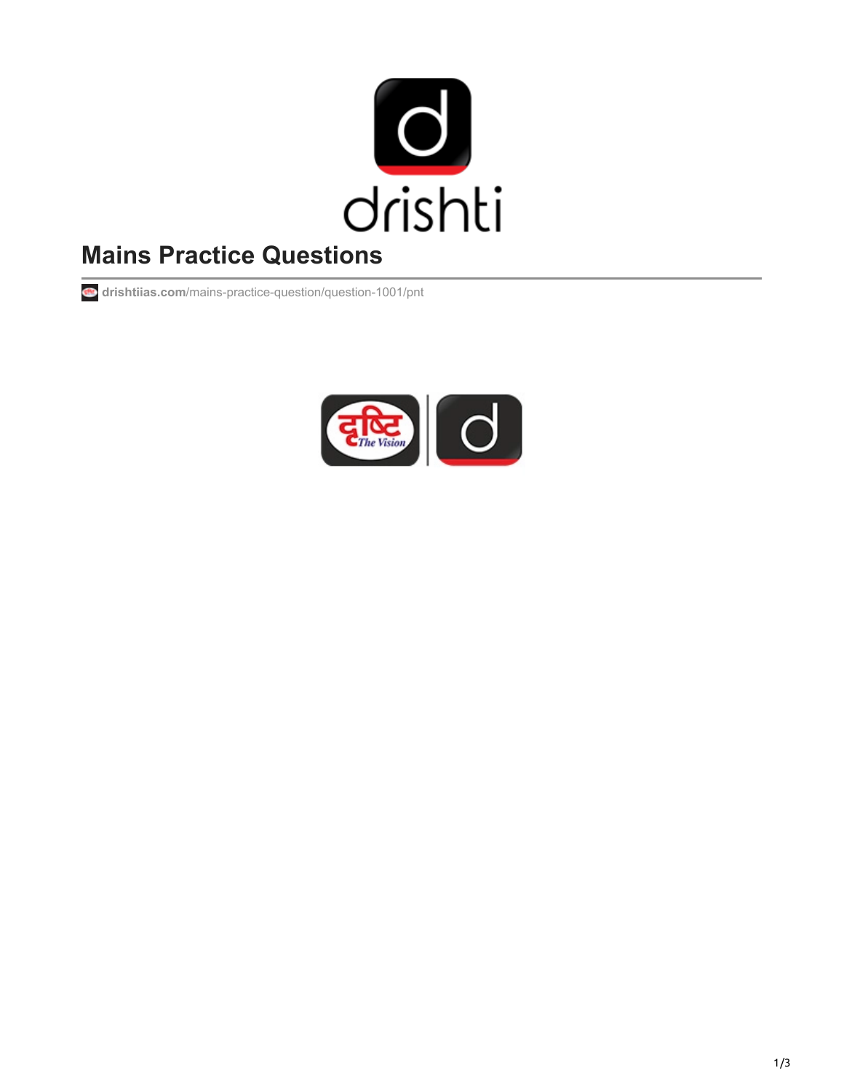

# **Mains Practice Questions**

**drishtiias.com**[/mains-practice-question/question-1001/pnt](https://www.drishtiias.com/mains-practice-question/question-1001/pnt)

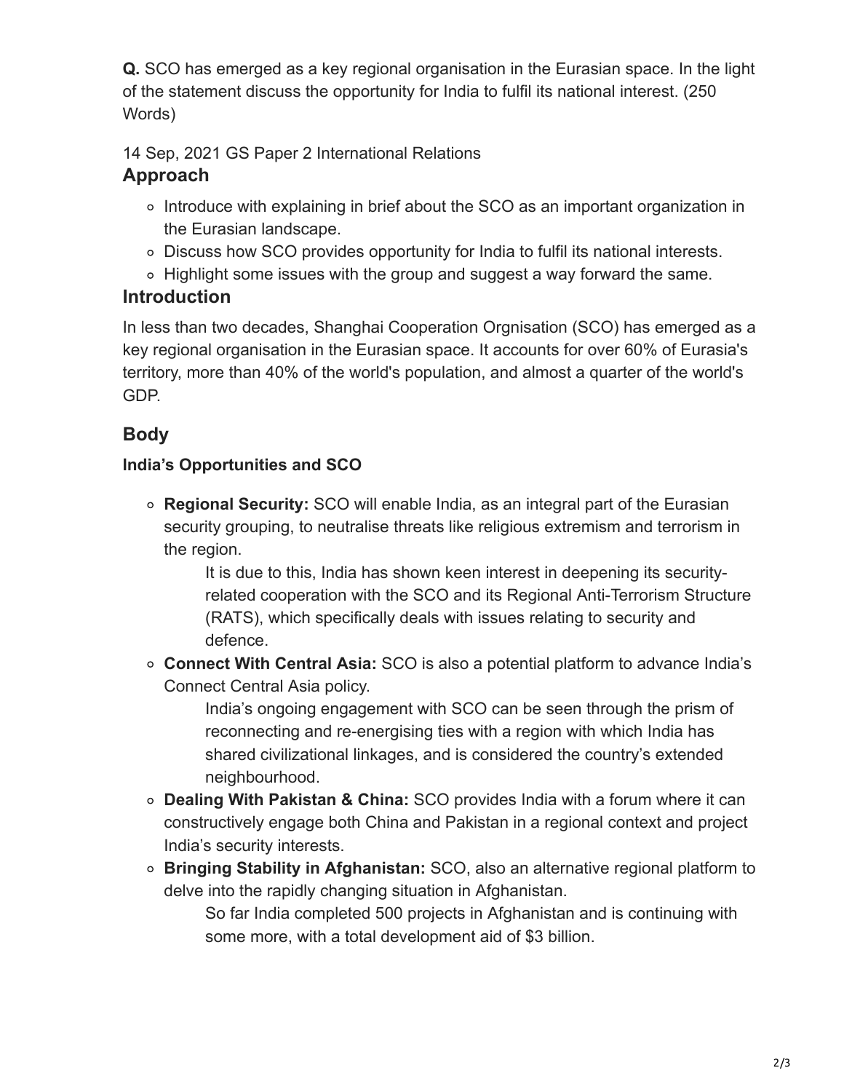**Q.** SCO has emerged as a key regional organisation in the Eurasian space. In the light of the statement discuss the opportunity for India to fulfil its national interest. (250 Words)

14 Sep, 2021 GS Paper 2 International Relations

# **Approach**

- Introduce with explaining in brief about the SCO as an important organization in the Eurasian landscape.
- Discuss how SCO provides opportunity for India to fulfil its national interests.
- Highlight some issues with the group and suggest a way forward the same.

## **Introduction**

In less than two decades, Shanghai Cooperation Orgnisation (SCO) has emerged as a key regional organisation in the Eurasian space. It accounts for over 60% of Eurasia's territory, more than 40% of the world's population, and almost a quarter of the world's GDP.

# **Body**

### **India's Opportunities and SCO**

**Regional Security:** SCO will enable India, as an integral part of the Eurasian security grouping, to neutralise threats like religious extremism and terrorism in the region.

It is due to this, India has shown keen interest in deepening its securityrelated cooperation with the SCO and its Regional Anti-Terrorism Structure (RATS), which specifically deals with issues relating to security and defence.

**Connect With Central Asia:** SCO is also a potential platform to advance India's Connect Central Asia policy.

India's ongoing engagement with SCO can be seen through the prism of reconnecting and re-energising ties with a region with which India has shared civilizational linkages, and is considered the country's extended neighbourhood.

- **Dealing With Pakistan & China:** SCO provides India with a forum where it can constructively engage both China and Pakistan in a regional context and project India's security interests.
- **Bringing Stability in Afghanistan:** SCO, also an alternative regional platform to delve into the rapidly changing situation in Afghanistan.

So far India completed 500 projects in Afghanistan and is continuing with some more, with a total development aid of \$3 billion.